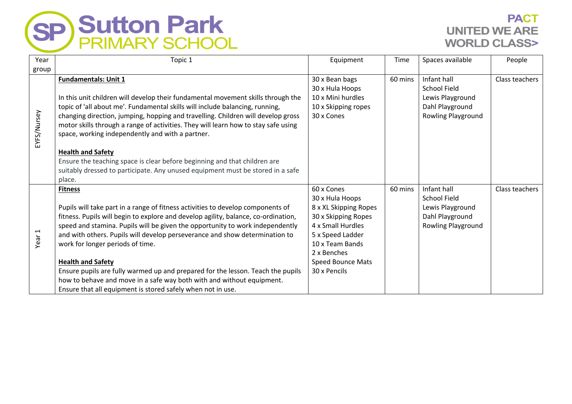

## **PACT UNITED WE ARE WORLD CLASS>**

| Year              | Topic 1                                                                                                                                                                                                                                                                                                                                                                                                                                                                                                                                                                                                                                                      | Equipment                                                                                                                                                                                     | Time    | Spaces available                                                                                | People         |
|-------------------|--------------------------------------------------------------------------------------------------------------------------------------------------------------------------------------------------------------------------------------------------------------------------------------------------------------------------------------------------------------------------------------------------------------------------------------------------------------------------------------------------------------------------------------------------------------------------------------------------------------------------------------------------------------|-----------------------------------------------------------------------------------------------------------------------------------------------------------------------------------------------|---------|-------------------------------------------------------------------------------------------------|----------------|
| group             |                                                                                                                                                                                                                                                                                                                                                                                                                                                                                                                                                                                                                                                              |                                                                                                                                                                                               |         |                                                                                                 |                |
| EYFS/Nursey       | <b>Fundamentals: Unit 1</b><br>In this unit children will develop their fundamental movement skills through the<br>topic of 'all about me'. Fundamental skills will include balancing, running,<br>changing direction, jumping, hopping and travelling. Children will develop gross<br>motor skills through a range of activities. They will learn how to stay safe using<br>space, working independently and with a partner.<br><b>Health and Safety</b><br>Ensure the teaching space is clear before beginning and that children are<br>suitably dressed to participate. Any unused equipment must be stored in a safe                                     | 30 x Bean bags<br>30 x Hula Hoops<br>10 x Mini hurdles<br>10 x Skipping ropes<br>30 x Cones                                                                                                   | 60 mins | Infant hall<br>School Field<br>Lewis Playground<br>Dahl Playground<br>Rowling Playground        | Class teachers |
| Year <sub>1</sub> | place.<br><b>Fitness</b><br>Pupils will take part in a range of fitness activities to develop components of<br>fitness. Pupils will begin to explore and develop agility, balance, co-ordination,<br>speed and stamina. Pupils will be given the opportunity to work independently<br>and with others. Pupils will develop perseverance and show determination to<br>work for longer periods of time.<br><b>Health and Safety</b><br>Ensure pupils are fully warmed up and prepared for the lesson. Teach the pupils<br>how to behave and move in a safe way both with and without equipment.<br>Ensure that all equipment is stored safely when not in use. | 60 x Cones<br>30 x Hula Hoops<br>8 x XL Skipping Ropes<br>30 x Skipping Ropes<br>4 x Small Hurdles<br>5 x Speed Ladder<br>10 x Team Bands<br>2 x Benches<br>Speed Bounce Mats<br>30 x Pencils | 60 mins | Infant hall<br>School Field<br>Lewis Playground<br>Dahl Playground<br><b>Rowling Playground</b> | Class teachers |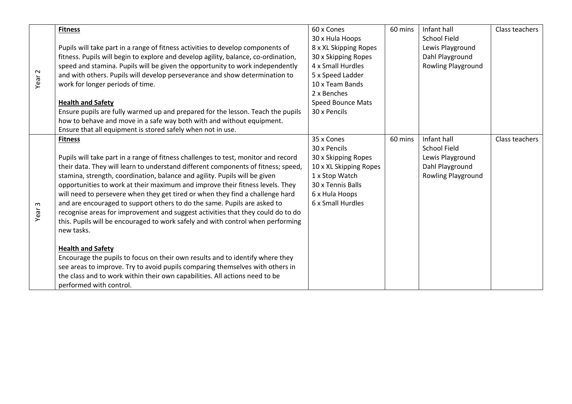| Year <sub>2</sub> | <b>Fitness</b>                                                                     | 60 x Cones               | 60 mins | Infant hall         | Class teachers |
|-------------------|------------------------------------------------------------------------------------|--------------------------|---------|---------------------|----------------|
|                   |                                                                                    | 30 x Hula Hoops          |         | <b>School Field</b> |                |
|                   | Pupils will take part in a range of fitness activities to develop components of    | 8 x XL Skipping Ropes    |         | Lewis Playground    |                |
|                   | fitness. Pupils will begin to explore and develop agility, balance, co-ordination, | 30 x Skipping Ropes      |         | Dahl Playground     |                |
|                   | speed and stamina. Pupils will be given the opportunity to work independently      | 4 x Small Hurdles        |         | Rowling Playground  |                |
|                   | and with others. Pupils will develop perseverance and show determination to        | 5 x Speed Ladder         |         |                     |                |
|                   | work for longer periods of time.                                                   | 10 x Team Bands          |         |                     |                |
|                   |                                                                                    | 2 x Benches              |         |                     |                |
|                   | <b>Health and Safety</b>                                                           | <b>Speed Bounce Mats</b> |         |                     |                |
|                   | Ensure pupils are fully warmed up and prepared for the lesson. Teach the pupils    | 30 x Pencils             |         |                     |                |
|                   | how to behave and move in a safe way both with and without equipment.              |                          |         |                     |                |
|                   | Ensure that all equipment is stored safely when not in use.                        |                          |         |                     |                |
|                   | <b>Fitness</b>                                                                     | 35 x Cones               | 60 mins | Infant hall         | Class teachers |
|                   |                                                                                    | 30 x Pencils             |         | <b>School Field</b> |                |
|                   | Pupils will take part in a range of fitness challenges to test, monitor and record | 30 x Skipping Ropes      |         | Lewis Playground    |                |
|                   | their data. They will learn to understand different components of fitness; speed,  | 10 x XL Skipping Ropes   |         | Dahl Playground     |                |
|                   | stamina, strength, coordination, balance and agility. Pupils will be given         | 1 x Stop Watch           |         | Rowling Playground  |                |
|                   | opportunities to work at their maximum and improve their fitness levels. They      | 30 x Tennis Balls        |         |                     |                |
|                   | will need to persevere when they get tired or when they find a challenge hard      | 6 x Hula Hoops           |         |                     |                |
|                   | and are encouraged to support others to do the same. Pupils are asked to           | 6 x Small Hurdles        |         |                     |                |
| Year <sub>3</sub> | recognise areas for improvement and suggest activities that they could do to do    |                          |         |                     |                |
|                   | this. Pupils will be encouraged to work safely and with control when performing    |                          |         |                     |                |
|                   | new tasks.                                                                         |                          |         |                     |                |
|                   |                                                                                    |                          |         |                     |                |
|                   | <b>Health and Safety</b>                                                           |                          |         |                     |                |
|                   | Encourage the pupils to focus on their own results and to identify where they      |                          |         |                     |                |
|                   | see areas to improve. Try to avoid pupils comparing themselves with others in      |                          |         |                     |                |
|                   | the class and to work within their own capabilities. All actions need to be        |                          |         |                     |                |
|                   | performed with control.                                                            |                          |         |                     |                |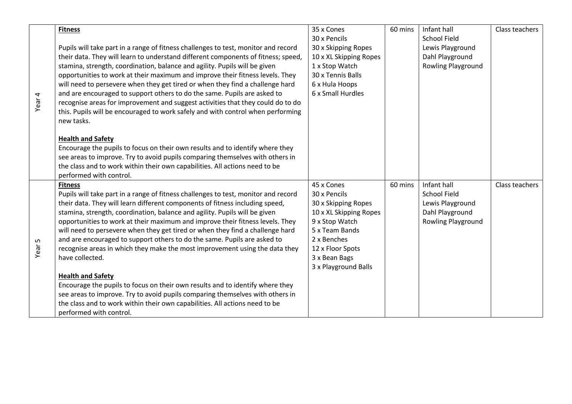| Year <sub>4</sub> | <b>Fitness</b>                                                                     | 35 x Cones             | 60 mins | Infant hall         | Class teachers |
|-------------------|------------------------------------------------------------------------------------|------------------------|---------|---------------------|----------------|
|                   |                                                                                    | 30 x Pencils           |         | <b>School Field</b> |                |
|                   | Pupils will take part in a range of fitness challenges to test, monitor and record | 30 x Skipping Ropes    |         | Lewis Playground    |                |
|                   | their data. They will learn to understand different components of fitness; speed,  | 10 x XL Skipping Ropes |         | Dahl Playground     |                |
|                   | stamina, strength, coordination, balance and agility. Pupils will be given         | 1 x Stop Watch         |         | Rowling Playground  |                |
|                   | opportunities to work at their maximum and improve their fitness levels. They      | 30 x Tennis Balls      |         |                     |                |
|                   | will need to persevere when they get tired or when they find a challenge hard      | 6 x Hula Hoops         |         |                     |                |
|                   | and are encouraged to support others to do the same. Pupils are asked to           | 6 x Small Hurdles      |         |                     |                |
|                   | recognise areas for improvement and suggest activities that they could do to do    |                        |         |                     |                |
|                   | this. Pupils will be encouraged to work safely and with control when performing    |                        |         |                     |                |
|                   | new tasks.                                                                         |                        |         |                     |                |
|                   | <b>Health and Safety</b>                                                           |                        |         |                     |                |
|                   | Encourage the pupils to focus on their own results and to identify where they      |                        |         |                     |                |
|                   | see areas to improve. Try to avoid pupils comparing themselves with others in      |                        |         |                     |                |
|                   | the class and to work within their own capabilities. All actions need to be        |                        |         |                     |                |
|                   | performed with control.                                                            |                        |         |                     |                |
|                   | <b>Fitness</b>                                                                     | 45 x Cones             | 60 mins | Infant hall         | Class teachers |
|                   | Pupils will take part in a range of fitness challenges to test, monitor and record | 30 x Pencils           |         | <b>School Field</b> |                |
|                   | their data. They will learn different components of fitness including speed,       | 30 x Skipping Ropes    |         | Lewis Playground    |                |
|                   | stamina, strength, coordination, balance and agility. Pupils will be given         | 10 x XL Skipping Ropes |         | Dahl Playground     |                |
| Year <sub>5</sub> | opportunities to work at their maximum and improve their fitness levels. They      | 9 x Stop Watch         |         | Rowling Playground  |                |
|                   | will need to persevere when they get tired or when they find a challenge hard      | 5 x Team Bands         |         |                     |                |
|                   | and are encouraged to support others to do the same. Pupils are asked to           | 2 x Benches            |         |                     |                |
|                   | recognise areas in which they make the most improvement using the data they        | 12 x Floor Spots       |         |                     |                |
|                   | have collected.                                                                    | 3 x Bean Bags          |         |                     |                |
|                   |                                                                                    | 3 x Playground Balls   |         |                     |                |
|                   | <b>Health and Safety</b>                                                           |                        |         |                     |                |
|                   | Encourage the pupils to focus on their own results and to identify where they      |                        |         |                     |                |
|                   | see areas to improve. Try to avoid pupils comparing themselves with others in      |                        |         |                     |                |
|                   | the class and to work within their own capabilities. All actions need to be        |                        |         |                     |                |
|                   | performed with control.                                                            |                        |         |                     |                |